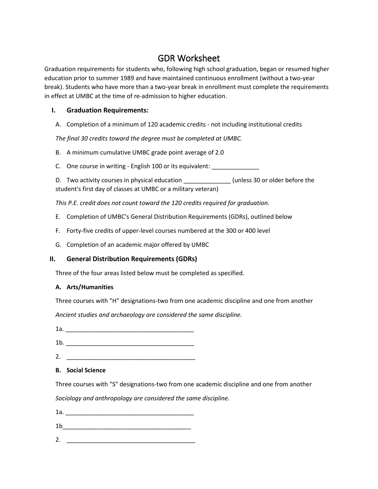# GDR Worksheet

Graduation requirements for students who, following high school graduation, began or resumed higher education prior to summer 1989 and have maintained continuous enrollment (without a two-year break). Students who have more than a two-year break in enrollment must complete the requirements in effect at UMBC at the time of re-admission to higher education.

### **I. Graduation Requirements:**

A. Completion of a minimum of 120 academic credits - not including institutional credits

*The final 30 credits toward the degree must be completed at UMBC.*

- B. A minimum cumulative UMBC grade point average of 2.0
- C. One course in writing English 100 or its equivalent: \_\_\_\_\_\_\_\_\_\_\_\_\_\_\_\_\_\_\_\_\_\_

D. Two activity courses in physical education \_\_\_\_\_\_\_\_\_\_\_\_\_\_\_(unless 30 or older before the student's first day of classes at UMBC or a military veteran)

*This P.E. credit does not count toward the 120 credits required for graduation.*

- E. Completion of UMBC's General Distribution Requirements (GDRs), outlined below
- F. Forty-five credits of upper-level courses numbered at the 300 or 400 level
- G. Completion of an academic major offered by UMBC

## **II. General Distribution Requirements (GDRs)**

Three of the four areas listed below must be completed as specified.

#### **A. Arts/Humanities**

Three courses with "H" designations-two from one academic discipline and one from another

*Ancient studies and archaeology are considered the same discipline.*

1a. \_\_\_\_\_\_\_\_\_\_\_\_\_\_\_\_\_\_\_\_\_\_\_\_\_\_\_\_\_\_\_\_\_\_\_\_\_\_

1b. \_\_\_\_\_\_\_\_\_\_\_\_\_\_\_\_\_\_\_\_\_\_\_\_\_\_\_\_\_\_\_\_\_\_\_\_\_\_

2. \_\_\_\_\_\_\_\_\_\_\_\_\_\_\_\_\_\_\_\_\_\_\_\_\_\_\_\_\_\_\_\_\_\_\_\_\_\_

#### **B. Social Science**

Three courses with "S" designations-two from one academic discipline and one from another

*Sociology and anthropology are considered the same discipline.* 

1a. \_\_\_\_\_\_\_\_\_\_\_\_\_\_\_\_\_\_\_\_\_\_\_\_\_\_\_\_\_\_\_\_\_\_\_\_\_\_ 1b\_\_\_\_\_\_\_\_\_\_\_\_\_\_\_\_\_\_\_\_\_\_\_\_\_\_\_\_\_\_\_\_\_\_\_\_\_\_

2. \_\_\_\_\_\_\_\_\_\_\_\_\_\_\_\_\_\_\_\_\_\_\_\_\_\_\_\_\_\_\_\_\_\_\_\_\_\_